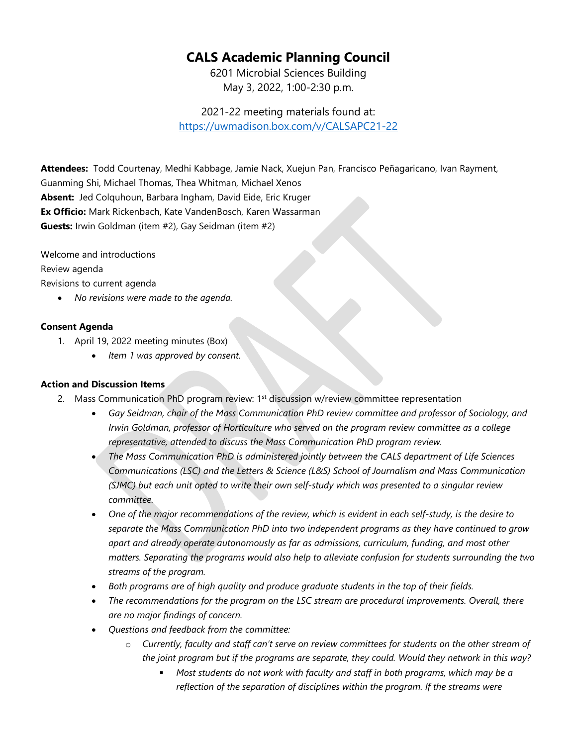## **CALS Academic Planning Council**

6201 Microbial Sciences Building May 3, 2022, 1:00-2:30 p.m.

2021-22 meeting materials found at: <https://uwmadison.box.com/v/CALSAPC21-22>

**Attendees:** Todd Courtenay, Medhi Kabbage, Jamie Nack, Xuejun Pan, Francisco Peñagaricano, Ivan Rayment, Guanming Shi, Michael Thomas, Thea Whitman, Michael Xenos **Absent:** Jed Colquhoun, Barbara Ingham, David Eide, Eric Kruger **Ex Officio:** Mark Rickenbach, Kate VandenBosch, Karen Wassarman **Guests:** Irwin Goldman (item #2), Gay Seidman (item #2)

Welcome and introductions

Review agenda

Revisions to current agenda

• *No revisions were made to the agenda.*

## **Consent Agenda**

- 1. April 19, 2022 meeting minutes (Box)
	- *Item 1 was approved by consent.*

## **Action and Discussion Items**

- 2. Mass Communication PhD program review: 1<sup>st</sup> discussion w/review committee representation
	- *Gay Seidman, chair of the Mass Communication PhD review committee and professor of Sociology, and Irwin Goldman, professor of Horticulture who served on the program review committee as a college representative, attended to discuss the Mass Communication PhD program review.*
	- *The Mass Communication PhD is administered jointly between the CALS department of Life Sciences Communications (LSC) and the Letters & Science (L&S) School of Journalism and Mass Communication (SJMC) but each unit opted to write their own self-study which was presented to a singular review committee.*
	- *One of the major recommendations of the review, which is evident in each self-study, is the desire to separate the Mass Communication PhD into two independent programs as they have continued to grow apart and already operate autonomously as far as admissions, curriculum, funding, and most other matters. Separating the programs would also help to alleviate confusion for students surrounding the two streams of the program.*
	- *Both programs are of high quality and produce graduate students in the top of their fields.*
	- *The recommendations for the program on the LSC stream are procedural improvements. Overall, there are no major findings of concern.*
	- *Questions and feedback from the committee:*
		- o *Currently, faculty and staff can't serve on review committees for students on the other stream of the joint program but if the programs are separate, they could. Would they network in this way?*
			- *Most students do not work with faculty and staff in both programs, which may be a reflection of the separation of disciplines within the program. If the streams were*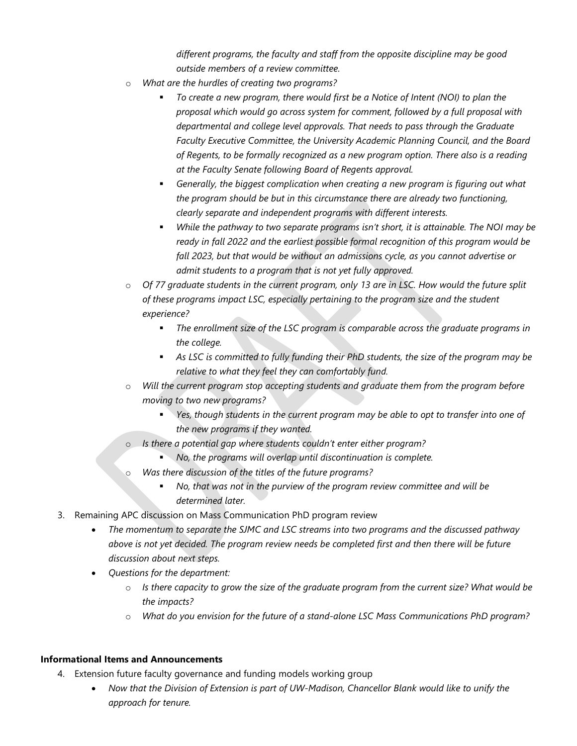*different programs, the faculty and staff from the opposite discipline may be good outside members of a review committee.*

- o *What are the hurdles of creating two programs?*
	- *To create a new program, there would first be a Notice of Intent (NOI) to plan the proposal which would go across system for comment, followed by a full proposal with departmental and college level approvals. That needs to pass through the Graduate Faculty Executive Committee, the University Academic Planning Council, and the Board of Regents, to be formally recognized as a new program option. There also is a reading at the Faculty Senate following Board of Regents approval.*
	- *Generally, the biggest complication when creating a new program is figuring out what the program should be but in this circumstance there are already two functioning, clearly separate and independent programs with different interests.*
	- *While the pathway to two separate programs isn't short, it is attainable. The NOI may be ready in fall 2022 and the earliest possible formal recognition of this program would be fall 2023, but that would be without an admissions cycle, as you cannot advertise or admit students to a program that is not yet fully approved.*
- o *Of 77 graduate students in the current program, only 13 are in LSC. How would the future split of these programs impact LSC, especially pertaining to the program size and the student experience?* 
	- *The enrollment size of the LSC program is comparable across the graduate programs in the college.*
	- *As LSC is committed to fully funding their PhD students, the size of the program may be relative to what they feel they can comfortably fund.*
- o *Will the current program stop accepting students and graduate them from the program before moving to two new programs?*
	- *Yes, though students in the current program may be able to opt to transfer into one of the new programs if they wanted.*
- o *Is there a potential gap where students couldn't enter either program?*
	- *No, the programs will overlap until discontinuation is complete.*
- o *Was there discussion of the titles of the future programs?*
	- *No, that was not in the purview of the program review committee and will be determined later.*
- 3. Remaining APC discussion on Mass Communication PhD program review
	- *The momentum to separate the SJMC and LSC streams into two programs and the discussed pathway above is not yet decided. The program review needs be completed first and then there will be future discussion about next steps.*
	- *Questions for the department:*
		- o *Is there capacity to grow the size of the graduate program from the current size? What would be the impacts?*
		- o *What do you envision for the future of a stand-alone LSC Mass Communications PhD program?*

## **Informational Items and Announcements**

- 4. Extension future faculty governance and funding models working group
	- *Now that the Division of Extension is part of UW-Madison, Chancellor Blank would like to unify the approach for tenure.*